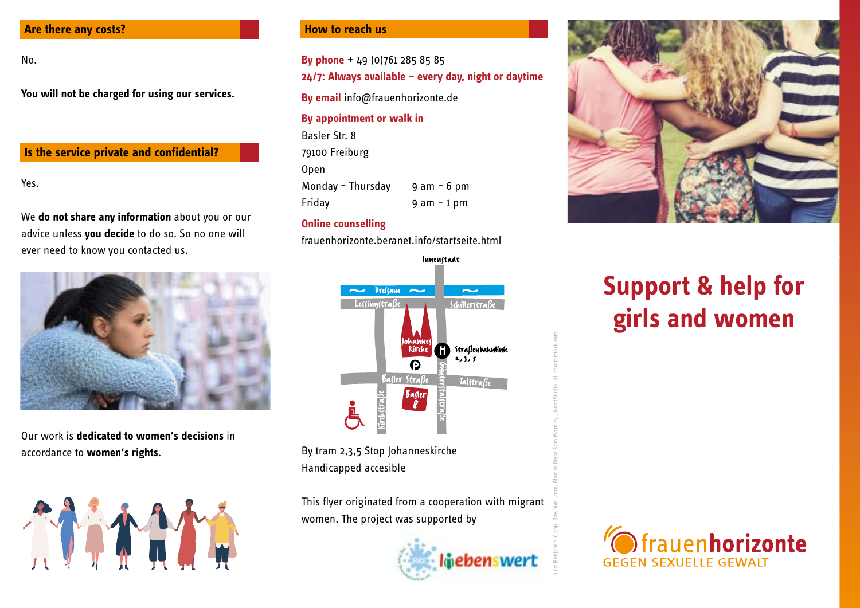#### **Are there any costs?**

No.

**You will not be charged for using our services.**

# **Is the service private and confidential?**

Yes.

We **do not share any information** about you or our advice unless **you decide** to do so. So no one will ever need to know you contacted us.



Our work is **dedicated to women's decisions** in accordance to **women's rights**.



#### **How to reach us**

**By phone** + 49 (0)761 285 85 85 **24/7: Always available – every day, night or daytime**

**By email** info@frauenhorizonte.de

#### **By appointment or walk in**

Basler Str. 8 79100 Freiburg Open Monday – Thursday  $9$  am – 6 pm Friday 9 am – 1 pm

# **Online counselling**

frauenhorizonte.beranet.info/startseite.html



By tram 2,3,5 Stop Johanneskirche Handicapped accesible

This flyer originated from a cooperation with migrant women. The project was supported by



pics: Benjamin Clapp, Rawpixel.com, Marcos Mesa Sam Wordley , GoodStudio, all shutterstock.com



# **Support & help for girls and women**